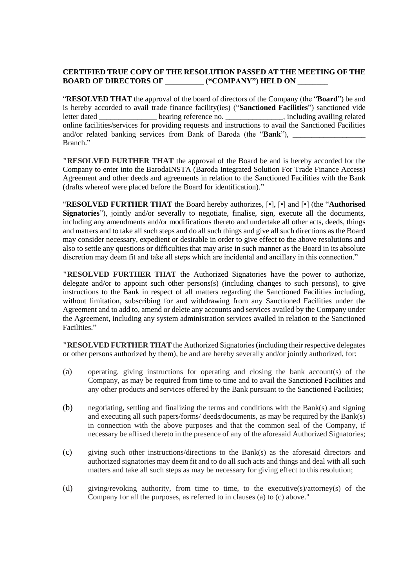## **CERTIFIED TRUE COPY OF THE RESOLUTION PASSED AT THE MEETING OF THE BOARD OF DIRECTORS OF \_\_\_\_\_\_\_\_\_\_ ("COMPANY") HELD ON \_\_\_\_\_\_\_\_**

"**RESOLVED THAT** the approval of the board of directors of the Company (the "**Board**") be and is hereby accorded to avail trade finance facility(ies) ("**Sanctioned Facilities**") sanctioned vide letter dated bearing reference no.  $\qquad \qquad$  including availing related online facilities/services for providing requests and instructions to avail the Sanctioned Facilities and/or related banking services from Bank of Baroda (the "Bank"), Branch<sup>"</sup>

**"RESOLVED FURTHER THAT** the approval of the Board be and is hereby accorded for the Company to enter into the BarodaINSTA (Baroda Integrated Solution For Trade Finance Access) Agreement and other deeds and agreements in relation to the Sanctioned Facilities with the Bank (drafts whereof were placed before the Board for identification)."

"**RESOLVED FURTHER THAT** the Board hereby authorizes, [•], [•] and [•] (the "**Authorised Signatories**"), jointly and/or severally to negotiate, finalise, sign, execute all the documents, including any amendments and/or modifications thereto and undertake all other acts, deeds, things and matters and to take all such steps and do all such things and give all such directions as the Board may consider necessary, expedient or desirable in order to give effect to the above resolutions and also to settle any questions or difficulties that may arise in such manner as the Board in its absolute discretion may deem fit and take all steps which are incidental and ancillary in this connection."

**"RESOLVED FURTHER THAT** the Authorized Signatories have the power to authorize, delegate and/or to appoint such other persons(s) (including changes to such persons), to give instructions to the Bank in respect of all matters regarding the Sanctioned Facilities including, without limitation, subscribing for and withdrawing from any Sanctioned Facilities under the Agreement and to add to, amend or delete any accounts and services availed by the Company under the Agreement, including any system administration services availed in relation to the Sanctioned Facilities."

**"RESOLVED FURTHER THAT** the Authorized Signatories (including their respective delegates or other persons authorized by them), be and are hereby severally and/or jointly authorized, for:

- (a) operating, giving instructions for operating and closing the bank account(s) of the Company, as may be required from time to time and to avail the Sanctioned Facilities and any other products and services offered by the Bank pursuant to the Sanctioned Facilities;
- (b) negotiating, settling and finalizing the terms and conditions with the Bank(s) and signing and executing all such papers/forms/ deeds/documents, as may be required by the Bank(s) in connection with the above purposes and that the common seal of the Company, if necessary be affixed thereto in the presence of any of the aforesaid Authorized Signatories;
- (c) giving such other instructions/directions to the Bank(s) as the aforesaid directors and authorized signatories may deem fit and to do all such acts and things and deal with all such matters and take all such steps as may be necessary for giving effect to this resolution;
- (d) giving/revoking authority, from time to time, to the executive(s)/attorney(s) of the Company for all the purposes, as referred to in clauses (a) to (c) above."